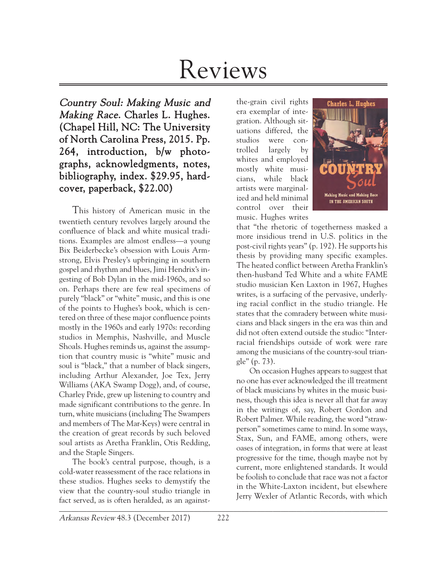# Reviews

Country Soul: Making Music and Making Race. Charles L. Hughes. (Chapel Hill, NC: The University of North Carolina Press, 2015. Pp. 264, introduction, b/w photographs, acknowledgments, notes, bibliography, index. \$29.95, hardcover, paperback, \$22.00)

This history of American music in the twentieth century revolves largely around the confluence of black and white musical traditions. Examples are almost endless—a young Bix Beiderbecke's obsession with Louis Armstrong, Elvis Presley's upbringing in southern gospel and rhythm and blues, Jimi Hendrix's ingesting of Bob Dylan in the mid-1960s, and so on. Perhaps there are few real specimens of purely "black" or "white" music, and this is one of the points to Hughes's book, which is centered on three of these major confluence points mostly in the 1960s and early 1970s: recording studios in Memphis, Nashville, and Muscle Shoals. Hughes reminds us, against the assumption that country music is "white" music and soul is "black," that a number of black singers, including Arthur Alexander, Joe Tex, Jerry Williams (AKA Swamp Dogg), and, of course, Charley Pride, grew up listening to country and made significant contributions to the genre. In turn, white musicians (including The Swampers and members of The Mar-Keys) were central in the creation of great records by such beloved soul artists as Aretha Franklin, Otis Redding, and the Staple Singers.

 $\mathcal{L}$  and  $\mathcal{L}$  and  $\mathcal{L}$  are the contribution of  $\mathcal{L}$  and  $\mathcal{L}$  and  $\mathcal{L}$  and  $\mathcal{L}$  are the contribution of  $\mathcal{L}$ The book's central purpose, though, is a cold-water reassessment of the race relations in these studios. Hughes seeks to demystify the view that the country-soul studio triangle in fact served, as is often heralded, as an against-

the-grain civil rights era exemplar of integration. Although situations differed, the studios were controlled largely by whites and employed mostly white musicians, while black artists were marginalized and held minimal control over their music. Hughes writes



that "the rhetoric of togetherness masked a more insidious trend in U.S. politics in the post-civil rights years" (p. 192). He supports his thesis by providing many specific examples. The heated conflict between Aretha Franklin's then-husband Ted White and a white FAME studio musician Ken Laxton in 1967, Hughes writes, is a surfacing of the pervasive, underlying racial conflict in the studio triangle. He states that the comradery between white musicians and black singers in the era was thin and did not often extend outside the studio: "Interracial friendships outside of work were rare among the musicians of the country-soul triangle" (p. 73).

On occasion Hughes appears to suggest that no one has ever acknowledged the ill treatment of black musicians by whites in the music business, though this idea is never all that far away in the writings of, say, Robert Gordon and Robert Palmer. While reading, the word "strawperson" sometimes came to mind. In some ways, Stax, Sun, and FAME, among others, were oases of integration, in forms that were at least progressive for the time, though maybe not by current, more enlightened standards. It would be foolish to conclude that race was not a factor in the White-Laxton incident, but elsewhere Jerry Wexler of Atlantic Records, with which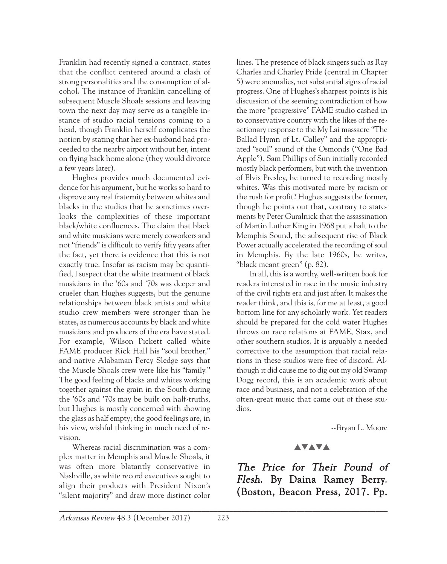Franklin had recently signed a contract, states that the conflict centered around a clash of strong personalities and the consumption of alcohol. The instance of Franklin cancelling of subsequent Muscle Shoals sessions and leaving town the next day may serve as a tangible instance of studio racial tensions coming to a head, though Franklin herself complicates the notion by stating that her ex-husband had proceeded to the nearby airport without her, intent on flying back home alone (they would divorce a few years later).

Hughes provides much documented evidence for his argument, but he works so hard to disprove any real fraternity between whites and blacks in the studios that he sometimes overlooks the complexities of these important black/white confluences. The claim that black and white musicians were merely coworkers and not "friends" is difficult to verify fifty years after the fact, yet there is evidence that this is not exactly true. Insofar as racism may be quantified, I suspect that the white treatment of black musicians in the '60s and '70s was deeper and crueler than Hughes suggests, but the genuine relationships between black artists and white studio crew members were stronger than he states, as numerous accounts by black and white musicians and producers of the era have stated. For example, Wilson Pickett called white FAME producer Rick Hall his "soul brother," and native Alabaman Percy Sledge says that the Muscle Shoals crew were like his "family." The good feeling of blacks and whites working together against the grain in the South during the '60s and '70s may be built on half-truths, but Hughes is mostly concerned with showing the glass as half empty; the good feelings are, in his view, wishful thinking in much need of revision.

Whereas racial discrimination was a complex matter in Memphis and Muscle Shoals, it was often more blatantly conservative in Nashville, as white record executives sought to align their products with President Nixon's "silent majority" and draw more distinct color

lines. The presence of black singers such as Ray Charles and Charley Pride (central in Chapter 5) were anomalies, not substantial signs of racial progress. One of Hughes's sharpest points is his discussion of the seeming contradiction of how the more "progressive" FAME studio cashed in to conservative country with the likes of the reactionary response to the My Lai massacre "The Ballad Hymn of Lt. Calley" and the appropriated "soul" sound of the Osmonds ("One Bad Apple"). Sam Phillips of Sun initially recorded mostly black performers, but with the invention of Elvis Presley, he turned to recording mostly whites. Was this motivated more by racism or the rush for profit? Hughes suggests the former, though he points out that, contrary to statements by Peter Guralnick that the assassination of Martin Luther King in 1968 put a halt to the Memphis Sound, the subsequent rise of Black Power actually accelerated the recording of soul in Memphis. By the late 1960s, he writes, "black meant green" (p. 82).

In all, this is a worthy, well-written book for readers interested in race in the music industry of the civil rights era and just after. It makes the reader think, and this is, for me at least, a good bottom line for any scholarly work. Yet readers should be prepared for the cold water Hughes throws on race relations at FAME, Stax, and other southern studios. It is arguably a needed corrective to the assumption that racial relations in these studios were free of discord. Although it did cause me to dig out my old Swamp Dogg record, this is an academic work about race and business, and not a celebration of the often-great music that came out of these studios.

--Bryan L. Moore

## **AVAVA**

The Price for Their Pound of Flesh. By Daina Ramey Berry. (Boston, Beacon Press, 2017. Pp.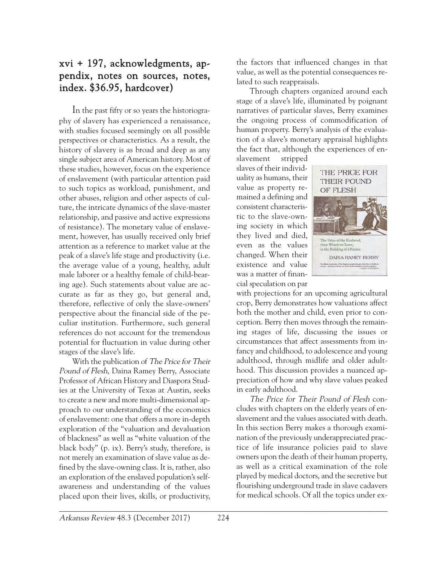# xvi + 197, acknowledgments, appendix, notes on sources, notes, index. \$36.95, hardcover)

In the past fifty or so years the historiography of slavery has experienced a renaissance, with studies focused seemingly on all possible perspectives or characteristics. As a result, the history of slavery is as broad and deep as any single subject area of American history. Most of these studies, however, focus on the experience of enslavement (with particular attention paid to such topics as workload, punishment, and other abuses, religion and other aspects of culture, the intricate dynamics of the slave-master relationship, and passive and active expressions of resistance). The monetary value of enslavement, however, has usually received only brief attention as a reference to market value at the peak of a slave's life stage and productivity (i.e. the average value of a young, healthy, adult male laborer or a healthy female of child-bearing age). Such statements about value are accurate as far as they go, but general and, therefore, reflective of only the slave-owners' perspective about the financial side of the peculiar institution. Furthermore, such general references do not account for the tremendous potential for fluctuation in value during other stages of the slave's life.

With the publication of The Price for Their Pound of Flesh, Daina Ramey Berry, Associate Professor of African History and Diaspora Studies at the University of Texas at Austin, seeks to create a new and more multi-dimensional approach to our understanding of the economics of enslavement: one that offers a more in-depth exploration of the "valuation and devaluation of blackness" as well as "white valuation of the black body" (p. ix). Berry's study, therefore, is not merely an examination of slave value as defined by the slave-owning class. It is, rather, also an exploration of the enslaved population's selfawareness and understanding of the values placed upon their lives, skills, or productivity,

the factors that influenced changes in that value, as well as the potential consequences related to such reappraisals.

Through chapters organized around each stage of a slave's life, illuminated by poignant narratives of particular slaves, Berry examines the ongoing process of commodification of human property. Berry's analysis of the evaluation of a slave's monetary appraisal highlights the fact that, although the experiences of en-

slavement stripped slaves of their individuality as humans, their value as property remained a defining and consistent characteristic to the slave-owning society in which they lived and died, even as the values changed. When their existence and value was a matter of financial speculation on par



with projections for an upcoming agricultural crop, Berry demonstrates how valuations affect both the mother and child, even prior to conception. Berry then moves through the remaining stages of life, discussing the issues or circumstances that affect assessments from infancy and childhood, to adolescence and young adulthood, through midlife and older adulthood. This discussion provides a nuanced appreciation of how and why slave values peaked in early adulthood.

The Price for Their Pound of Flesh concludes with chapters on the elderly years of enslavement and the values associated with death. In this section Berry makes a thorough examination of the previously underappreciated practice of life insurance policies paid to slave owners upon the death of their human property, as well as a critical examination of the role played by medical doctors, and the secretive but flourishing underground trade in slave cadavers for medical schools. Of all the topics under ex-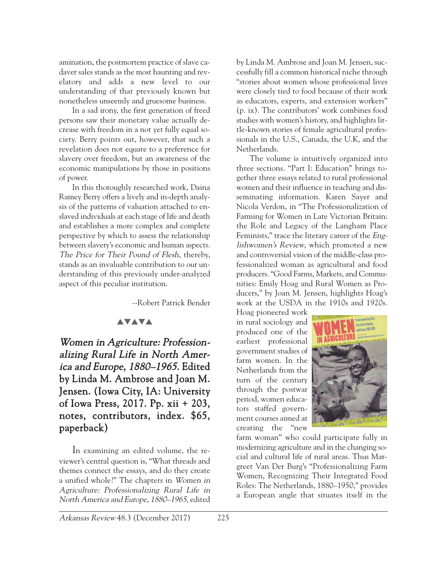amination, the postmortem practice of slave cadaver sales stands as the most haunting and revelatory and adds a new level to our understanding of that previously known but nonetheless unseemly and gruesome business.

In a sad irony, the first generation of freed persons saw their monetary value actually decrease with freedom in a not yet fully equal society. Berry points out, however, that such a revelation does not equate to a preference for slavery over freedom, but an awareness of the economic manipulations by those in positions of power.

In this thoroughly researched work, Daina Ramey Berry offers a lively and in-depth analysis of the patterns of valuation attached to enslaved individuals at each stage of life and death and establishes a more complex and complete perspective by which to assess the relationship between slavery's economic and human aspects. The Price for Their Pound of Flesh, thereby, stands as an invaluable contribution to our understanding of this previously under-analyzed aspect of this peculiar institution.

--Robert Patrick Bender

#### **AVAVA**

Women in Agriculture: Professionalizing Rural Life in North America and Europe, 1880–1965. Edited by Linda M. Ambrose and Joan M. Jensen. (Iowa City, IA: University of Iowa Press, 2017. Pp. xii + 203, notes, contributors, index. \$65, paperback)

In examining an edited volume, the reviewer's central question is, "What threads and themes connect the essays, and do they create a unified whole?" The chapters in Women in Agriculture: Professionalizing Rural Life in North America and Europe, 1880–1965, edited  $\mathcal{L}$  , and the contribution of the contribution of  $\mathcal{L}$ 

by Linda M. Ambrose and Joan M. Jensen, successfully fill a common historical niche through "stories about women whose professional lives were closely tied to food because of their work as educators, experts, and extension workers" (p. ix). The contributors' work combines food studies with women's history, and highlights little-known stories of female agricultural professionals in the U.S., Canada, the U.K, and the Netherlands.

The volume is intuitively organized into three sections. "Part I: Education" brings together three essays related to rural professional women and their influence in teaching and disseminating information. Karen Sayer and Nicola Verdon, in "The Professionalization of Farming for Women in Late Victorian Britain: the Role and Legacy of the Langham Place Feminists," trace the literary career of the *Eng*lishwomen's Review, which promoted a new and controversial vision of the middle-class professionalized woman as agricultural and food producers. "Good Farms, Markets, and Communities: Emily Hoag and Rural Women as Producers," by Joan M. Jensen, highlights Hoag's work at the USDA in the 1910s and 1920s.

Hoag pioneered work in rural sociology and produced one of the earliest professional government studies of farm women. In the Netherlands from the turn of the century through the postwar period, women educators staffed government courses aimed at creating the "new



farm woman" who could participate fully in modernizing agriculture and in the changing social and cultural life of rural areas. Thus Margreet Van Der Burg's "Professionalizing Farm Women, Recognizing Their Integrated Food Roles: The Netherlands, 1880–1950," provides a European angle that situates itself in the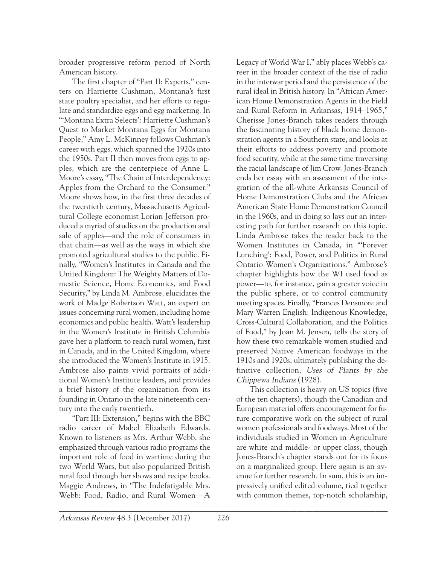broader progressive reform period of North American history.

The first chapter of "Part II: Experts," centers on Harriette Cushman, Montana's first state poultry specialist, and her efforts to regulate and standardize eggs and egg marketing. In "'Montana Extra Selects': Harriette Cushman's Quest to Market Montana Eggs for Montana People," Amy L. McKinney follows Cushman's career with eggs, which spanned the 1920s into the 1950s. Part II then moves from eggs to apples, which are the centerpiece of Anne L. Moore's essay, "The Chain of Interdependency: Apples from the Orchard to the Consumer." Moore shows how, in the first three decades of the twentieth century, Massachusetts Agricultural College economist Lorian Jefferson produced a myriad of studies on the production and sale of apples—and the role of consumers in that chain—as well as the ways in which she promoted agricultural studies to the public. Finally, "Women's Institutes in Canada and the United Kingdom: The Weighty Matters of Domestic Science, Home Economics, and Food Security," by Linda M. Ambrose, elucidates the work of Madge Robertson Watt, an expert on issues concerning rural women, including home economics and public health. Watt's leadership in the Women's Institute in British Columbia gave her a platform to reach rural women, first in Canada, and in the United Kingdom, where she introduced the Women's Institute in 1915. Ambrose also paints vivid portraits of additional Women's Institute leaders, and provides a brief history of the organization from its founding in Ontario in the late nineteenth century into the early twentieth.

"Part III: Extension," begins with the BBC radio career of Mabel Elizabeth Edwards. Known to listeners as Mrs. Arthur Webb, she emphasized through various radio programs the important role of food in wartime during the two World Wars, but also popularized British rural food through her shows and recipe books. Maggie Andrews, in "The Indefatigable Mrs. Webb: Food, Radio, and Rural Women—A

Legacy of World War I," ably places Webb's career in the broader context of the rise of radio in the interwar period and the persistence of the rural ideal in British history. In "African American Home Demonstration Agents in the Field and Rural Reform in Arkansas, 1914–1965," Cherisse Jones-Branch takes readers through the fascinating history of black home demonstration agents in a Southern state, and looks at their efforts to address poverty and promote food security, while at the same time traversing the racial landscape of Jim Crow. Jones-Branch ends her essay with an assessment of the integration of the all-white Arkansas Council of Home Demonstration Clubs and the African American State Home Demonstration Council in the 1960s, and in doing so lays out an interesting path for further research on this topic. Linda Ambrose takes the reader back to the Women Institutes in Canada, in "'Forever Lunching': Food, Power, and Politics in Rural Ontario Women's Organizations." Ambrose's chapter highlights how the WI used food as power—to, for instance, gain a greater voice in the public sphere, or to control community meeting spaces. Finally, "Frances Densmore and Mary Warren English: Indigenous Knowledge, Cross-Cultural Collaboration, and the Politics of Food," by Joan M. Jensen, tells the story of how these two remarkable women studied and preserved Native American foodways in the 1910s and 1920s, ultimately publishing the definitive collection, Uses of Plants by the Chippewa Indians (1928).

This collection is heavy on US topics (five of the ten chapters), though the Canadian and European material offers encouragement for future comparative work on the subject of rural women professionals and foodways. Most of the individuals studied in Women in Agriculture are white and middle- or upper class, though Jones-Branch's chapter stands out for its focus on a marginalized group. Here again is an avenue for further research. In sum, this is an impressively unified edited volume, tied together with common themes, top-notch scholarship,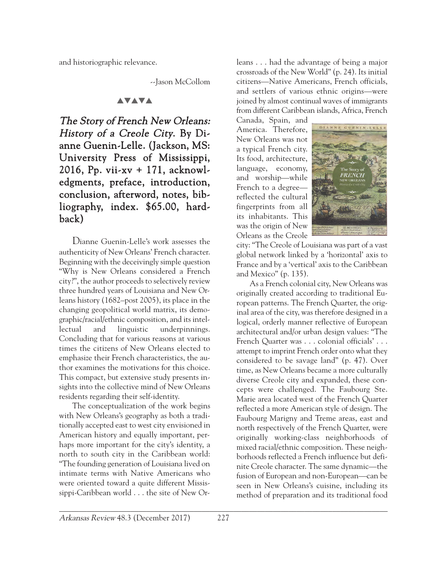and historiographic relevance.

--Jason McCollom

## **AVAVA**

The Story of French New Orleans: History of a Creole City. By Dianne Guenin-Lelle. (Jackson, MS: University Press of Mississippi, 2016, Pp. vii-xv + 171, acknowledgments, preface, introduction, conclusion, afterword, notes, bibliography, index. \$65.00, hardback)

Dianne Guenin-Lelle's work assesses the authenticity of New Orleans' French character. Beginning with the deceivingly simple question "Why is New Orleans considered a French city?", the author proceeds to selectively review three hundred years of Louisiana and New Orleans history (1682–post 2005), its place in the changing geopolitical world matrix, its demographic/racial/ethnic composition, and its intellectual and linguistic underpinnings. Concluding that for various reasons at various times the citizens of New Orleans elected to emphasize their French characteristics, the author examines the motivations for this choice. This compact, but extensive study presents insights into the collective mind of New Orleans residents regarding their self-identity.

The conceptualization of the work begins with New Orleans's geography as both a traditionally accepted east to west city envisioned in American history and equally important, perhaps more important for the city's identity, a north to south city in the Caribbean world: "The founding generation of Louisiana lived on intimate terms with Native Americans who were oriented toward a quite different Mississippi-Caribbean world . . . the site of New Orleans . . . had the advantage of being a major crossroads of the New World" (p. 24). Its initial citizens—Native Americans, French officials, and settlers of various ethnic origins—were joined by almost continual waves of immigrants from different Caribbean islands, Africa, French

Canada, Spain, and America. Therefore, New Orleans was not a typical French city. Its food, architecture, language, economy, and worship—while French to a degree reflected the cultural fingerprints from all its inhabitants. This was the origin of New Orleans as the Creole



city: "The Creole of Louisiana was part of a vast global network linked by a 'horizontal' axis to France and by a 'vertical' axis to the Caribbean and Mexico" (p. 135).

As a French colonial city, New Orleans was originally created according to traditional European patterns. The French Quarter, the original area of the city, was therefore designed in a logical, orderly manner reflective of European architectural and/or urban design values: "The French Quarter was . . . colonial officials' . . . attempt to imprint French order onto what they considered to be savage land" (p. 47). Over time, as New Orleans became a more culturally diverse Creole city and expanded, these concepts were challenged. The Faubourg Ste. Marie area located west of the French Quarter reflected a more American style of design. The Faubourg Marigny and Treme areas, east and north respectively of the French Quarter, were originally working-class neighborhoods of mixed racial/ethnic composition. These neighborhoods reflected a French influence but definite Creole character. The same dynamic—the fusion of European and non-European—can be seen in New Orleans's cuisine, including its method of preparation and its traditional food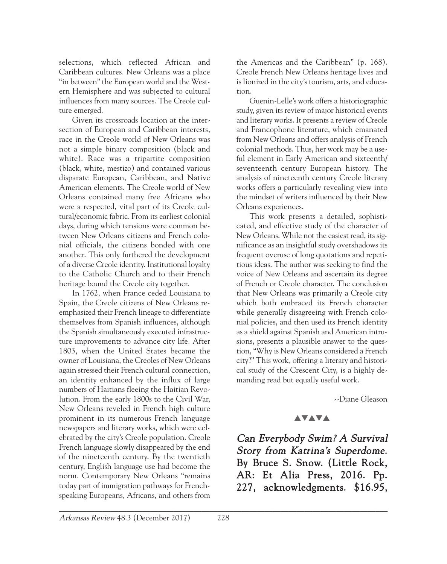selections, which reflected African and Caribbean cultures. New Orleans was a place "in between" the European world and the Western Hemisphere and was subjected to cultural influences from many sources. The Creole culture emerged.

Given its crossroads location at the intersection of European and Caribbean interests, race in the Creole world of New Orleans was not a simple binary composition (black and white). Race was a tripartite composition (black, white, mestizo) and contained various disparate European, Caribbean, and Native American elements. The Creole world of New Orleans contained many free Africans who were a respected, vital part of its Creole cultural/economic fabric. From its earliest colonial days, during which tensions were common between New Orleans citizens and French colonial officials, the citizens bonded with one another. This only furthered the development of a diverse Creole identity. Institutional loyalty to the Catholic Church and to their French heritage bound the Creole city together.

In 1762, when France ceded Louisiana to Spain, the Creole citizens of New Orleans reemphasized their French lineage to differentiate themselves from Spanish influences, although the Spanish simultaneously executed infrastructure improvements to advance city life. After 1803, when the United States became the owner of Louisiana, the Creoles of New Orleans again stressed their French cultural connection, an identity enhanced by the influx of large numbers of Haitians fleeing the Haitian Revolution. From the early 1800s to the Civil War, New Orleans reveled in French high culture prominent in its numerous French language newspapers and literary works, which were celebrated by the city's Creole population. Creole French language slowly disappeared by the end of the nineteenth century. By the twentieth century, English language use had become the norm. Contemporary New Orleans "remains today part of immigration pathways for Frenchspeaking Europeans, Africans, and others from

the Americas and the Caribbean" (p. 168). Creole French New Orleans heritage lives and is lionized in the city's tourism, arts, and education.

Guenin-Lelle's work offers a historiographic study, given its review of major historical events and literary works. It presents a review of Creole and Francophone literature, which emanated from New Orleans and offers analysis of French colonial methods. Thus, her work may be a useful element in Early American and sixteenth/ seventeenth century European history. The analysis of nineteenth century Creole literary works offers a particularly revealing view into the mindset of writers influenced by their New Orleans experiences.

This work presents a detailed, sophisticated, and effective study of the character of New Orleans. While not the easiest read, its significance as an insightful study overshadows its frequent overuse of long quotations and repetitious ideas. The author was seeking to find the voice of New Orleans and ascertain its degree of French or Creole character. The conclusion that New Orleans was primarily a Creole city which both embraced its French character while generally disagreeing with French colonial policies, and then used its French identity as a shield against Spanish and American intrusions, presents a plausible answer to the question, "Why is New Orleans considered a French city?" This work, offering a literary and historical study of the Crescent City, is a highly demanding read but equally useful work.

--Diane Gleason

#### **AVAVA**

Can Everybody Swim? A Survival Story from Katrina's Superdome. By Bruce S. Snow. (Little Rock, AR: Et Alia Press, 2016. Pp. 227, acknowledgments. \$16.95,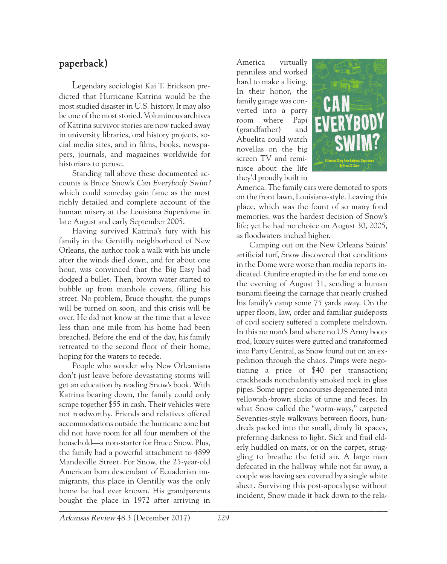## paperback)

Legendary sociologist Kai T. Erickson predicted that Hurricane Katrina would be the most studied disaster in U.S. history. It may also be one of the most storied. Voluminous archives of Katrina survivor stories are now tucked away in university libraries, oral history projects, social media sites, and in films, books, newspapers, journals, and magazines worldwide for historians to peruse.

Standing tall above these documented accounts is Bruce Snow's Can Everybody Swim? which could someday gain fame as the most richly detailed and complete account of the human misery at the Louisiana Superdome in late August and early September 2005.

Having survived Katrina's fury with his family in the Gentilly neighborhood of New Orleans, the author took a walk with his uncle after the winds died down, and for about one hour, was convinced that the Big Easy had dodged a bullet. Then, brown water started to bubble up from manhole covers, filling his street. No problem, Bruce thought, the pumps will be turned on soon, and this crisis will be over. He did not know at the time that a levee less than one mile from his home had been breached. Before the end of the day, his family retreated to the second floor of their home, hoping for the waters to recede.

People who wonder why New Orleanians don't just leave before devastating storms will get an education by reading Snow's book. With Katrina bearing down, the family could only scrape together \$55 in cash. Their vehicles were not roadworthy. Friends and relatives offered accommodations outside the hurricane zone but did not have room for all four members of the household—a non-starter for Bruce Snow. Plus, the family had a powerful attachment to 4899 Mandeville Street. For Snow, the 25-year-old American born descendant of Ecuadorian immigrants, this place in Gentilly was the only home he had ever known. His grandparents bought the place in 1972 after arriving in \_\_\_\_\_\_\_\_\_\_\_\_\_\_\_\_\_\_\_\_\_\_\_\_\_\_\_\_\_\_\_\_\_\_\_\_\_\_\_\_\_\_\_\_\_\_\_\_\_\_\_\_\_\_\_\_\_\_\_\_\_\_\_\_\_\_\_\_\_\_\_\_\_\_\_\_\_\_\_\_\_\_\_

America virtually penniless and worked hard to make a living. In their honor, the family garage was converted into a party room where Papi (grandfather) and Abuelita could watch novellas on the big screen TV and reminisce about the life they'd proudly built in



America. The family cars were demoted to spots on the front lawn, Louisiana-style. Leaving this place, which was the fount of so many fond memories, was the hardest decision of Snow's life; yet he had no choice on August 30, 2005, as floodwaters inched higher.

Camping out on the New Orleans Saints' artificial turf, Snow discovered that conditions in the Dome were worse than media reports indicated. Gunfire erupted in the far end zone on the evening of August 31, sending a human tsunami fleeing the carnage that nearly crushed his family's camp some 75 yards away. On the upper floors, law, order and familiar guideposts of civil society suffered a complete meltdown. In this no man's land where no US Army boots trod, luxury suites were gutted and transformed into Party Central, as Snow found out on an expedition through the chaos. Pimps were negotiating a price of \$40 per transaction; crackheads nonchalantly smoked rock in glass pipes. Some upper concourses degenerated into yellowish-brown slicks of urine and feces. In what Snow called the "worm-ways," carpeted Seventies-style walkways between floors, hundreds packed into the small, dimly lit spaces, preferring darkness to light. Sick and frail elderly huddled on mats, or on the carpet, struggling to breathe the fetid air. A large man defecated in the hallway while not far away, a couple was having sex covered by a single white sheet. Surviving this post-apocalypse without incident, Snow made it back down to the rela-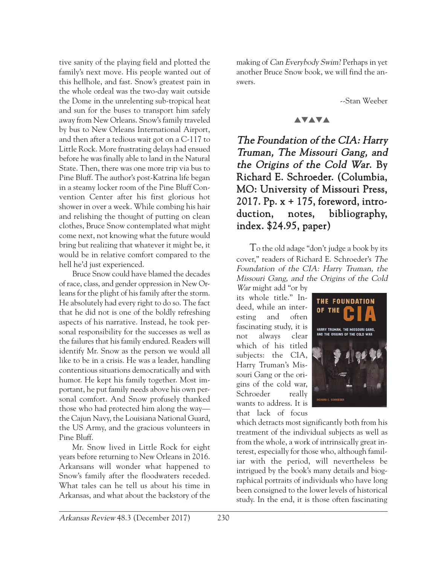tive sanity of the playing field and plotted the family's next move. His people wanted out of this hellhole, and fast. Snow's greatest pain in the whole ordeal was the two-day wait outside the Dome in the unrelenting sub-tropical heat and sun for the buses to transport him safely away from New Orleans. Snow's family traveled by bus to New Orleans International Airport, and then after a tedious wait got on a C-117 to Little Rock. More frustrating delays had ensued before he was finally able to land in the Natural State. Then, there was one more trip via bus to Pine Bluff. The author's post-Katrina life began in a steamy locker room of the Pine Bluff Convention Center after his first glorious hot shower in over a week. While combing his hair and relishing the thought of putting on clean clothes, Bruce Snow contemplated what might come next, not knowing what the future would bring but realizing that whatever it might be, it would be in relative comfort compared to the hell he'd just experienced.

Bruce Snow could have blamed the decades of race, class, and gender oppression in New Orleans for the plight of his family after the storm. He absolutely had every right to do so. The fact that he did not is one of the boldly refreshing aspects of his narrative. Instead, he took personal responsibility for the successes as well as the failures that his family endured. Readers will identify Mr. Snow as the person we would all like to be in a crisis. He was a leader, handling contentious situations democratically and with humor. He kept his family together. Most important, he put family needs above his own personal comfort. And Snow profusely thanked those who had protected him along the way the Cajun Navy, the Louisiana National Guard, the US Army, and the gracious volunteers in Pine Bluff.

Mr. Snow lived in Little Rock for eight years before returning to New Orleans in 2016. Arkansans will wonder what happened to Snow's family after the floodwaters receded. What tales can he tell us about his time in Arkansas, and what about the backstory of the

making of Can Everybody Swim? Perhaps in yet another Bruce Snow book, we will find the answers.

--Stan Weeber

#### **AVAVA**

The Foundation of the CIA: Harry Truman, The Missouri Gang, and the Origins of the Cold War. By Richard E. Schroeder. (Columbia, MO: University of Missouri Press, 2017. Pp. x + 175, foreword, introduction, notes, bibliography, index. \$24.95, paper)

To the old adage "don't judge a book by its cover," readers of Richard E. Schroeder's The Foundation of the CIA: Harry Truman, the Missouri Gang, and the Origins of the Cold

War might add "or by its whole title." Indeed, while an interesting and often fascinating study, it is not always clear which of his titled subjects: the CIA, Harry Truman's Missouri Gang or the origins of the cold war, Schroeder really wants to address. It is that lack of focus



which detracts most significantly both from his treatment of the individual subjects as well as from the whole, a work of intrinsically great interest, especially for those who, although familiar with the period, will nevertheless be intrigued by the book's many details and biographical portraits of individuals who have long been consigned to the lower levels of historical study. In the end, it is those often fascinating  $\mathcal{L}$  , and the contribution of the contribution of  $\mathcal{L}$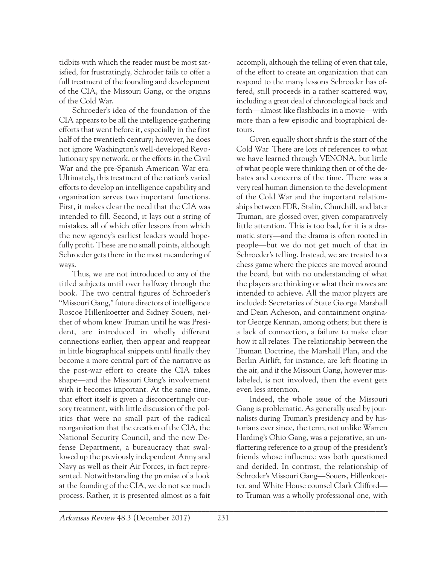tidbits with which the reader must be most satisfied, for frustratingly, Schroder fails to offer a full treatment of the founding and development of the CIA, the Missouri Gang, or the origins of the Cold War.

Schroeder's idea of the foundation of the CIA appears to be all the intelligence-gathering efforts that went before it, especially in the first half of the twentieth century; however, he does not ignore Washington's well-developed Revolutionary spy network, or the efforts in the Civil War and the pre-Spanish American War era. Ultimately, this treatment of the nation's varied efforts to develop an intelligence capability and organization serves two important functions. First, it makes clear the need that the CIA was intended to fill. Second, it lays out a string of mistakes, all of which offer lessons from which the new agency's earliest leaders would hopefully profit. These are no small points, although Schroeder gets there in the most meandering of ways.

Thus, we are not introduced to any of the titled subjects until over halfway through the book. The two central figures of Schroeder's "Missouri Gang," future directors of intelligence Roscoe Hillenkoetter and Sidney Souers, neither of whom knew Truman until he was President, are introduced in wholly different connections earlier, then appear and reappear in little biographical snippets until finally they become a more central part of the narrative as the post-war effort to create the CIA takes shape—and the Missouri Gang's involvement with it becomes important. At the same time, that effort itself is given a disconcertingly cursory treatment, with little discussion of the politics that were no small part of the radical reorganization that the creation of the CIA, the National Security Council, and the new Defense Department, a bureaucracy that swallowed up the previously independent Army and Navy as well as their Air Forces, in fact represented. Notwithstanding the promise of a look at the founding of the CIA, we do not see much process. Rather, it is presented almost as a fait accompli, although the telling of even that tale, of the effort to create an organization that can respond to the many lessons Schroeder has offered, still proceeds in a rather scattered way, including a great deal of chronological back and forth—almost like flashbacks in a movie—with more than a few episodic and biographical detours.

Given equally short shrift is the start of the Cold War. There are lots of references to what we have learned through VENONA, but little of what people were thinking then or of the debates and concerns of the time. There was a very real human dimension to the development of the Cold War and the important relationships between FDR, Stalin, Churchill, and later Truman, are glossed over, given comparatively little attention. This is too bad, for it is a dramatic story—and the drama is often rooted in people—but we do not get much of that in Schroeder's telling. Instead, we are treated to a chess game where the pieces are moved around the board, but with no understanding of what the players are thinking or what their moves are intended to achieve. All the major players are included: Secretaries of State George Marshall and Dean Acheson, and containment originator George Kennan, among others; but there is a lack of connection, a failure to make clear how it all relates. The relationship between the Truman Doctrine, the Marshall Plan, and the Berlin Airlift, for instance, are left floating in the air, and if the Missouri Gang, however mislabeled, is not involved, then the event gets even less attention.

Indeed, the whole issue of the Missouri Gang is problematic. As generally used by journalists during Truman's presidency and by historians ever since, the term, not unlike Warren Harding's Ohio Gang, was a pejorative, an unflattering reference to a group of the president's friends whose influence was both questioned and derided. In contrast, the relationship of Schroder's Missouri Gang—Souers, Hillenkoetter, and White House counsel Clark Clifford to Truman was a wholly professional one, with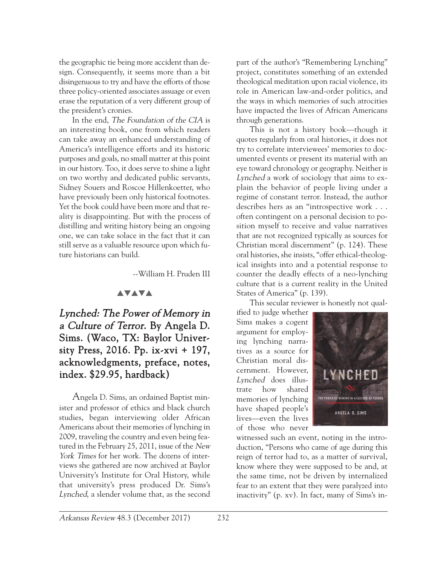the geographic tie being more accident than design. Consequently, it seems more than a bit disingenuous to try and have the efforts of those three policy-oriented associates assuage or even erase the reputation of a very different group of the president's cronies.

In the end, The Foundation of the CIA is an interesting book, one from which readers can take away an enhanced understanding of America's intelligence efforts and its historic purposes and goals, no small matter at this point in our history. Too, it does serve to shine a light on two worthy and dedicated public servants, Sidney Souers and Roscoe Hillenkoetter, who have previously been only historical footnotes. Yet the book could have been more and that reality is disappointing. But with the process of distilling and writing history being an ongoing one, we can take solace in the fact that it can still serve as a valuable resource upon which future historians can build.

--William H. Pruden III

#### **AVAVA**

# Lynched: The Power of Memory in a Culture of Terror. By Angela D. Sims. (Waco, TX: Baylor University Press, 2016. Pp. ix-xvi + 197, acknowledgments, preface, notes, index. \$29.95, hardback)

Angela D. Sims, an ordained Baptist minister and professor of ethics and black church studies, began interviewing older African Americans about their memories of lynching in 2009, traveling the country and even being featured in the February 25, 2011, issue of the New York Times for her work. The dozens of interviews she gathered are now archived at Baylor University's Institute for Oral History, while that university's press produced Dr. Sims's Lynched, a slender volume that, as the second

part of the author's "Remembering Lynching" project, constitutes something of an extended theological meditation upon racial violence, its role in American law-and-order politics, and the ways in which memories of such atrocities have impacted the lives of African Americans through generations.

This is not a history book—though it quotes regularly from oral histories, it does not try to correlate interviewees' memories to documented events or present its material with an eye toward chronology or geography. Neither is Lynched a work of sociology that aims to explain the behavior of people living under a regime of constant terror. Instead, the author describes hers as an "introspective work . . . often contingent on a personal decision to position myself to receive and value narratives that are not recognized typically as sources for Christian moral discernment" (p. 124). These oral histories, she insists, "offer ethical-theological insights into and a potential response to counter the deadly effects of a neo-lynching culture that is a current reality in the United States of America" (p. 139).

This secular reviewer is honestly not qual-

ified to judge whether Sims makes a cogent argument for employing lynching narratives as a source for Christian moral discernment. However, Lynched does illustrate how shared memories of lynching have shaped people's lives—even the lives of those who never



witnessed such an event, noting in the introduction, "Persons who came of age during this reign of terror had to, as a matter of survival, know where they were supposed to be and, at the same time, not be driven by internalized fear to an extent that they were paralyzed into inactivity" (p. xv). In fact, many of Sims's in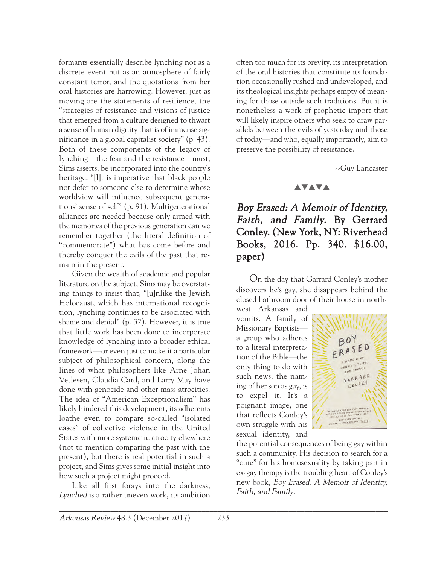formants essentially describe lynching not as a discrete event but as an atmosphere of fairly constant terror, and the quotations from her oral histories are harrowing. However, just as moving are the statements of resilience, the "strategies of resistance and visions of justice that emerged from a culture designed to thwart a sense of human dignity that is of immense significance in a global capitalist society" (p. 43). Both of these components of the legacy of lynching—the fear and the resistance—must, Sims asserts, be incorporated into the country's heritage: "[I]t is imperative that black people not defer to someone else to determine whose worldview will influence subsequent generations' sense of self" (p. 91). Multigenerational alliances are needed because only armed with the memories of the previous generation can we remember together (the literal definition of "commemorate") what has come before and thereby conquer the evils of the past that remain in the present.

Given the wealth of academic and popular literature on the subject, Sims may be overstating things to insist that, "[u]nlike the Jewish Holocaust, which has international recognition, lynching continues to be associated with shame and denial" (p. 32). However, it is true that little work has been done to incorporate knowledge of lynching into a broader ethical framework—or even just to make it a particular subject of philosophical concern, along the lines of what philosophers like Arne Johan Vetlesen, Claudia Card, and Larry May have done with genocide and other mass atrocities. The idea of "American Exceptionalism" has likely hindered this development, its adherents loathe even to compare so-called "isolated cases" of collective violence in the United States with more systematic atrocity elsewhere (not to mention comparing the past with the present), but there is real potential in such a project, and Sims gives some initial insight into how such a project might proceed.

Like all first forays into the darkness, Lynched is a rather uneven work, its ambition

often too much for its brevity, its interpretation of the oral histories that constitute its foundation occasionally rushed and undeveloped, and its theological insights perhaps empty of meaning for those outside such traditions. But it is nonetheless a work of prophetic import that will likely inspire others who seek to draw parallels between the evils of yesterday and those of today—and who, equally importantly, aim to preserve the possibility of resistance.

--Guy Lancaster

#### **AVAVA**

# Boy Erased: A Memoir of Identity, Faith, and Family. By Gerrard Conley. (New York, NY: Riverhead Books, 2016. Pp. 340. \$16.00, paper)

On the day that Garrard Conley's mother discovers he's gay, she disappears behind the closed bathroom door of their house in north-

west Arkansas and vomits. A family of Missionary Baptists a group who adheres to a literal interpretation of the Bible—the only thing to do with such news, the naming of her son as gay, is to expel it. It's a poignant image, one that reflects Conley's own struggle with his sexual identity, and



the potential consequences of being gay within such a community. His decision to search for a "cure" for his homosexuality by taking part in ex-gay therapy is the troubling heart of Conley's new book, Boy Erased: A Memoir of Identity, Faith, and Family.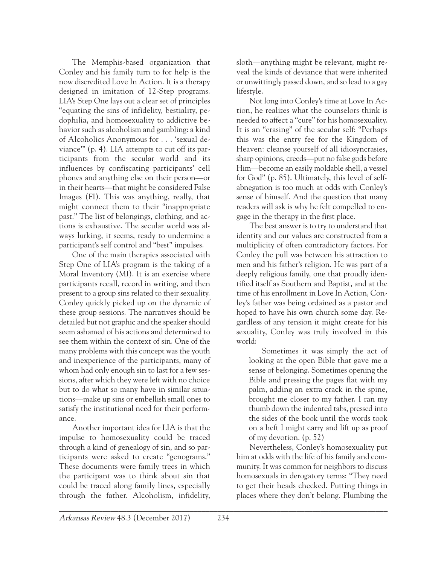The Memphis-based organization that Conley and his family turn to for help is the now discredited Love In Action. It is a therapy designed in imitation of 12-Step programs. LIA's Step One lays out a clear set of principles "equating the sins of infidelity, bestiality, pedophilia, and homosexuality to addictive behavior such as alcoholism and gambling: a kind of Alcoholics Anonymous for . . . 'sexual deviance'" (p. 4). LIA attempts to cut off its participants from the secular world and its influences by confiscating participants' cell phones and anything else on their person—or in their hearts—that might be considered False Images (FI). This was anything, really, that might connect them to their "inappropriate past." The list of belongings, clothing, and actions is exhaustive. The secular world was always lurking, it seems, ready to undermine a participant's self control and "best" impulses.

One of the main therapies associated with Step One of LIA's program is the taking of a Moral Inventory (MI). It is an exercise where participants recall, record in writing, and then present to a group sins related to their sexuality. Conley quickly picked up on the dynamic of these group sessions. The narratives should be detailed but not graphic and the speaker should seem ashamed of his actions and determined to see them within the context of sin. One of the many problems with this concept was the youth and inexperience of the participants, many of whom had only enough sin to last for a few sessions, after which they were left with no choice but to do what so many have in similar situations—make up sins or embellish small ones to satisfy the institutional need for their performance.

Another important idea for LIA is that the impulse to homosexuality could be traced through a kind of genealogy of sin, and so participants were asked to create "genograms." These documents were family trees in which the participant was to think about sin that could be traced along family lines, especially through the father. Alcoholism, infidelity,

sloth—anything might be relevant, might reveal the kinds of deviance that were inherited or unwittingly passed down, and so lead to a gay lifestyle.

Not long into Conley's time at Love In Action, he realizes what the counselors think is needed to affect a "cure" for his homosexuality. It is an "erasing" of the secular self: "Perhaps this was the entry fee for the Kingdom of Heaven: cleanse yourself of all idiosyncrasies, sharp opinions, creeds—put no false gods before Him—become an easily moldable shell, a vessel for God" (p. 85). Ultimately, this level of selfabnegation is too much at odds with Conley's sense of himself. And the question that many readers will ask is why he felt compelled to engage in the therapy in the first place.

The best answer is to try to understand that identity and our values are constructed from a multiplicity of often contradictory factors. For Conley the pull was between his attraction to men and his father's religion. He was part of a deeply religious family, one that proudly identified itself as Southern and Baptist, and at the time of his enrollment in Love In Action, Conley's father was being ordained as a pastor and hoped to have his own church some day. Regardless of any tension it might create for his sexuality, Conley was truly involved in this world:

Sometimes it was simply the act of looking at the open Bible that gave me a sense of belonging. Sometimes opening the Bible and pressing the pages flat with my palm, adding an extra crack in the spine, brought me closer to my father. I ran my thumb down the indented tabs, pressed into the sides of the book until the words took on a heft I might carry and lift up as proof of my devotion. (p. 52)

Nevertheless, Conley's homosexuality put him at odds with the life of his family and community. It was common for neighbors to discuss homosexuals in derogatory terms: "They need to get their heads checked. Putting things in places where they don't belong. Plumbing the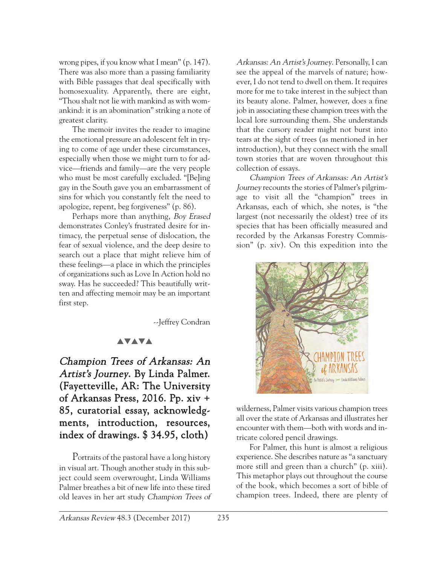wrong pipes, if you know what I mean" (p. 147). There was also more than a passing familiarity with Bible passages that deal specifically with homosexuality. Apparently, there are eight, "Thou shalt not lie with mankind as with womankind: it is an abomination" striking a note of greatest clarity.

The memoir invites the reader to imagine the emotional pressure an adolescent felt in trying to come of age under these circumstances, especially when those we might turn to for advice—friends and family—are the very people who must be most carefully excluded. "[Be]ing gay in the South gave you an embarrassment of sins for which you constantly felt the need to apologize, repent, beg forgiveness" (p. 86).

Perhaps more than anything, Boy Erased demonstrates Conley's frustrated desire for intimacy, the perpetual sense of dislocation, the fear of sexual violence, and the deep desire to search out a place that might relieve him of these feelings—a place in which the principles of organizations such as Love In Action hold no sway. Has he succeeded? This beautifully written and affecting memoir may be an important first step.

--Jeffrey Condran

## **AVAVA**

Champion Trees of Arkansas: An Artist's Journey. By Linda Palmer. (Fayetteville, AR: The University of Arkansas Press, 2016. Pp. xiv + 85, curatorial essay, acknowledgments, introduction, resources, index of drawings. \$ 34.95, cloth)

Portraits of the pastoral have a long history in visual art. Though another study in this subject could seem overwrought, Linda Williams Palmer breathes a bit of new life into these tired old leaves in her art study Champion Trees of

Arkansas: An Artist's Journey. Personally, I can see the appeal of the marvels of nature; however, I do not tend to dwell on them. It requires more for me to take interest in the subject than its beauty alone. Palmer, however, does a fine job in associating these champion trees with the local lore surrounding them. She understands that the cursory reader might not burst into tears at the sight of trees (as mentioned in her introduction), but they connect with the small town stories that are woven throughout this collection of essays.

Champion Trees of Arkansas: An Artist's Journey recounts the stories of Palmer's pilgrimage to visit all the "champion" trees in Arkansas, each of which, she notes, is "the largest (not necessarily the oldest) tree of its species that has been officially measured and recorded by the Arkansas Forestry Commission" (p. xiv). On this expedition into the



wilderness, Palmer visits various champion trees all over the state of Arkansas and illustrates her encounter with them—both with words and intricate colored pencil drawings.

For Palmer, this hunt is almost a religious experience. She describes nature as "a sanctuary more still and green than a church" (p. xiii). This metaphor plays out throughout the course of the book, which becomes a sort of bible of champion trees. Indeed, there are plenty of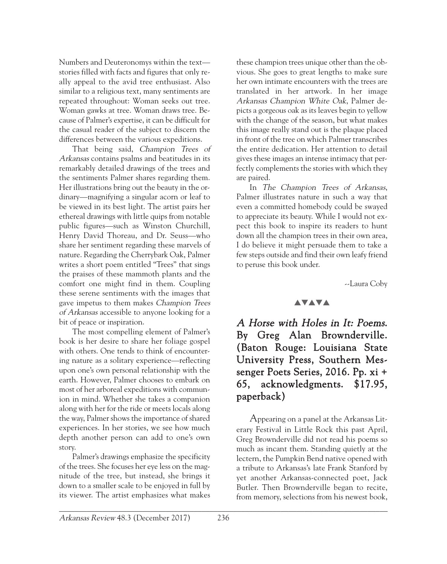Numbers and Deuteronomys within the text stories filled with facts and figures that only really appeal to the avid tree enthusiast. Also similar to a religious text, many sentiments are repeated throughout: Woman seeks out tree. Woman gawks at tree. Woman draws tree. Because of Palmer's expertise, it can be difficult for the casual reader of the subject to discern the differences between the various expeditions.

That being said, Champion Trees of Arkansas contains psalms and beatitudes in its remarkably detailed drawings of the trees and the sentiments Palmer shares regarding them. Her illustrations bring out the beauty in the ordinary—magnifying a singular acorn or leaf to be viewed in its best light. The artist pairs her ethereal drawings with little quips from notable public figures—such as Winston Churchill, Henry David Thoreau, and Dr. Seuss—who share her sentiment regarding these marvels of nature. Regarding the Cherrybark Oak, Palmer writes a short poem entitled "Trees" that sings the praises of these mammoth plants and the comfort one might find in them. Coupling these serene sentiments with the images that gave impetus to them makes Champion Trees of Arkansas accessible to anyone looking for a bit of peace or inspiration.

The most compelling element of Palmer's book is her desire to share her foliage gospel with others. One tends to think of encountering nature as a solitary experience—reflecting upon one's own personal relationship with the earth. However, Palmer chooses to embark on most of her arboreal expeditions with communion in mind. Whether she takes a companion along with her for the ride or meets locals along the way, Palmer shows the importance of shared experiences. In her stories, we see how much depth another person can add to one's own story.

Palmer's drawings emphasize the specificity of the trees. She focuses her eye less on the magnitude of the tree, but instead, she brings it down to a smaller scale to be enjoyed in full by its viewer. The artist emphasizes what makes these champion trees unique other than the obvious. She goes to great lengths to make sure her own intimate encounters with the trees are translated in her artwork. In her image Arkansas Champion White Oak, Palmer depicts a gorgeous oak as its leaves begin to yellow with the change of the season, but what makes this image really stand out is the plaque placed in front of the tree on which Palmer transcribes the entire dedication. Her attention to detail gives these images an intense intimacy that perfectly complements the stories with which they are paired.

In The Champion Trees of Arkansas, Palmer illustrates nature in such a way that even a committed homebody could be swayed to appreciate its beauty. While I would not expect this book to inspire its readers to hunt down all the champion trees in their own area, I do believe it might persuade them to take a few steps outside and find their own leafy friend to peruse this book under.

--Laura Coby

#### **AVAVA**

A Horse with Holes in It: Poems. By Greg Alan Brownderville. (Baton Rouge: Louisiana State University Press, Southern Messenger Poets Series, 2016. Pp. xi + 65, acknowledgments. \$17.95, paperback)

Appearing on a panel at the Arkansas Literary Festival in Little Rock this past April, Greg Brownderville did not read his poems so much as incant them. Standing quietly at the lectern, the Pumpkin Bend native opened with a tribute to Arkansas's late Frank Stanford by yet another Arkansas-connected poet, Jack Butler. Then Brownderville began to recite, from memory, selections from his newest book,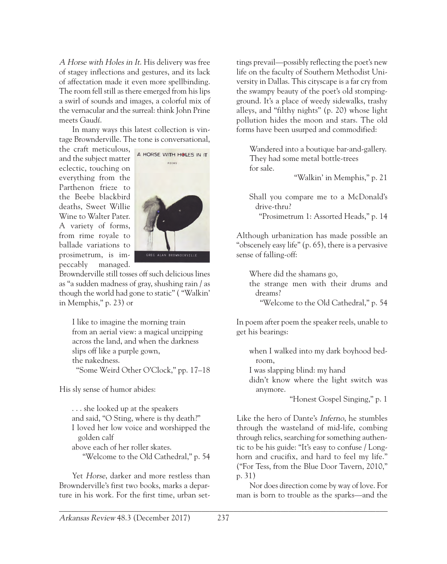A Horse with Holes in It. His delivery was free of stagey inflections and gestures, and its lack of affectation made it even more spellbinding. The room fell still as there emerged from his lips a swirl of sounds and images, a colorful mix of the vernacular and the surreal: think John Prine meets Gaudí.

In many ways this latest collection is vintage Brownderville. The tone is conversational,

the craft meticulous, and the subject matter eclectic, touching on everything from the Parthenon frieze to the Beebe blackbird deaths, Sweet Willie Wine to Walter Pater. A variety of forms, from rime royale to ballade variations to prosimetrum, is impeccably managed.



Brownderville still tosses off such delicious lines as "a sudden madness of gray, shushing rain / as though the world had gone to static" ( "Walkin' in Memphis," p. 23) or

I like to imagine the morning train from an aerial view: a magical unzipping across the land, and when the darkness slips off like a purple gown, the nakedness. "Some Weird Other O'Clock," pp. 17–18

His sly sense of humor abides:

. . . she looked up at the speakers and said, "O Sting, where is thy death?" I loved her low voice and worshipped the golden calf above each of her roller skates. "Welcome to the Old Cathedral," p. 54

Yet *Horse*, darker and more restless than Brownderville's first two books, marks a departure in his work. For the first time, urban settings prevail—possibly reflecting the poet's new life on the faculty of Southern Methodist University in Dallas. This cityscape is a far cry from the swampy beauty of the poet's old stompingground. It's a place of weedy sidewalks, trashy alleys, and "filthy nights" (p. 20) whose light pollution hides the moon and stars. The old forms have been usurped and commodified:

Wandered into a boutique bar-and-gallery. They had some metal bottle-trees for sale.

"Walkin' in Memphis," p. 21

Shall you compare me to a McDonald's drive-thru?

"Prosimetrum 1: Assorted Heads," p. 14

Although urbanization has made possible an "obscenely easy life" (p. 65), there is a pervasive sense of falling-off:

Where did the shamans go,

the strange men with their drums and dreams?

"Welcome to the Old Cathedral," p. 54

In poem after poem the speaker reels, unable to get his bearings:

when I walked into my dark boyhood bedroom,

I was slapping blind: my hand

didn't know where the light switch was anymore.

"Honest Gospel Singing," p. 1

Like the hero of Dante's Inferno, he stumbles through the wasteland of mid-life, combing through relics, searching for something authentic to be his guide: "It's easy to confuse / Longhorn and crucifix, and hard to feel my life." ("For Tess, from the Blue Door Tavern, 2010," p. 31)

Nor does direction come by way of love. For man is born to trouble as the sparks—and the